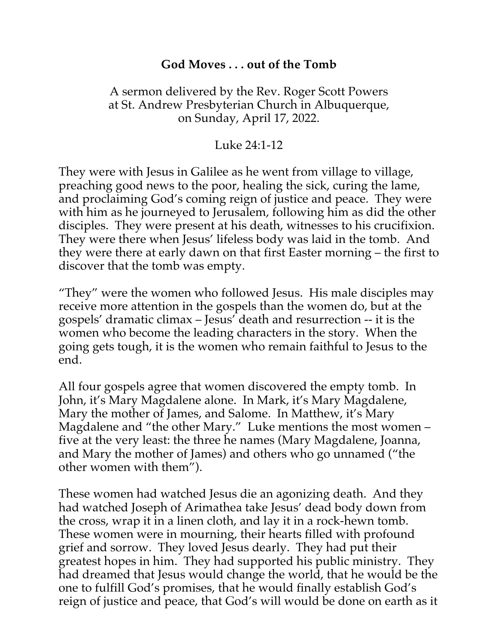## **God Moves . . . out of the Tomb**

## A sermon delivered by the Rev. Roger Scott Powers at St. Andrew Presbyterian Church in Albuquerque, on Sunday, April 17, 2022.

## Luke 24:1-12

They were with Jesus in Galilee as he went from village to village, preaching good news to the poor, healing the sick, curing the lame, and proclaiming God's coming reign of justice and peace. They were with him as he journeyed to Jerusalem, following him as did the other disciples. They were present at his death, witnesses to his crucifixion. They were there when Jesus' lifeless body was laid in the tomb. And they were there at early dawn on that first Easter morning – the first to discover that the tomb was empty.

"They" were the women who followed Jesus. His male disciples may receive more attention in the gospels than the women do, but at the gospels' dramatic climax – Jesus' death and resurrection -- it is the women who become the leading characters in the story. When the going gets tough, it is the women who remain faithful to Jesus to the end.

All four gospels agree that women discovered the empty tomb. In John, it's Mary Magdalene alone. In Mark, it's Mary Magdalene, Mary the mother of James, and Salome. In Matthew, it's Mary Magdalene and "the other Mary." Luke mentions the most women – five at the very least: the three he names (Mary Magdalene, Joanna, and Mary the mother of James) and others who go unnamed ("the other women with them").

These women had watched Jesus die an agonizing death. And they had watched Joseph of Arimathea take Jesus' dead body down from the cross, wrap it in a linen cloth, and lay it in a rock-hewn tomb. These women were in mourning, their hearts filled with profound grief and sorrow. They loved Jesus dearly. They had put their greatest hopes in him. They had supported his public ministry. They had dreamed that Jesus would change the world, that he would be the one to fulfill God's promises, that he would finally establish God's reign of justice and peace, that God's will would be done on earth as it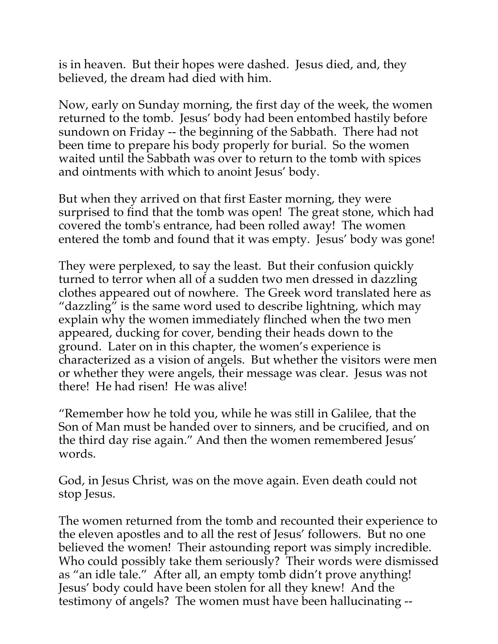is in heaven. But their hopes were dashed. Jesus died, and, they believed, the dream had died with him.

Now, early on Sunday morning, the first day of the week, the women returned to the tomb. Jesus' body had been entombed hastily before sundown on Friday -- the beginning of the Sabbath. There had not been time to prepare his body properly for burial. So the women waited until the Sabbath was over to return to the tomb with spices and ointments with which to anoint Jesus' body.

But when they arrived on that first Easter morning, they were surprised to find that the tomb was open! The great stone, which had covered the tomb's entrance, had been rolled away! The women entered the tomb and found that it was empty. Jesus' body was gone!

They were perplexed, to say the least. But their confusion quickly turned to terror when all of a sudden two men dressed in dazzling clothes appeared out of nowhere. The Greek word translated here as "dazzling" is the same word used to describe lightning, which may explain why the women immediately flinched when the two men appeared, ducking for cover, bending their heads down to the ground. Later on in this chapter, the women's experience is characterized as a vision of angels. But whether the visitors were men or whether they were angels, their message was clear. Jesus was not there! He had risen! He was alive!

"Remember how he told you, while he was still in Galilee, that the Son of Man must be handed over to sinners, and be crucified, and on the third day rise again." And then the women remembered Jesus' words.

God, in Jesus Christ, was on the move again. Even death could not stop Jesus.

The women returned from the tomb and recounted their experience to the eleven apostles and to all the rest of Jesus' followers. But no one believed the women! Their astounding report was simply incredible. Who could possibly take them seriously? Their words were dismissed as "an idle tale." After all, an empty tomb didn't prove anything! Jesus' body could have been stolen for all they knew! And the testimony of angels? The women must have been hallucinating --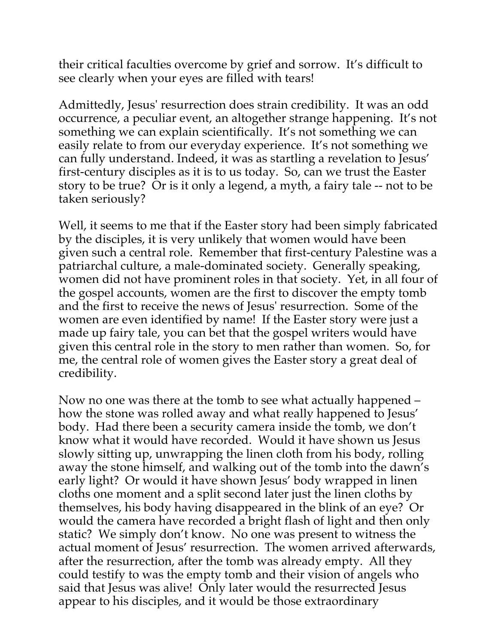their critical faculties overcome by grief and sorrow. It's difficult to see clearly when your eyes are filled with tears!

Admittedly, Jesus' resurrection does strain credibility. It was an odd occurrence, a peculiar event, an altogether strange happening. It's not something we can explain scientifically. It's not something we can easily relate to from our everyday experience. It's not something we can fully understand. Indeed, it was as startling a revelation to Jesus' first-century disciples as it is to us today. So, can we trust the Easter story to be true? Or is it only a legend, a myth, a fairy tale -- not to be taken seriously?

Well, it seems to me that if the Easter story had been simply fabricated by the disciples, it is very unlikely that women would have been given such a central role. Remember that first-century Palestine was a patriarchal culture, a male-dominated society. Generally speaking, women did not have prominent roles in that society. Yet, in all four of the gospel accounts, women are the first to discover the empty tomb and the first to receive the news of Jesus' resurrection. Some of the women are even identified by name! If the Easter story were just a made up fairy tale, you can bet that the gospel writers would have given this central role in the story to men rather than women. So, for me, the central role of women gives the Easter story a great deal of credibility.

Now no one was there at the tomb to see what actually happened – how the stone was rolled away and what really happened to Jesus' body. Had there been a security camera inside the tomb, we don't know what it would have recorded. Would it have shown us Jesus slowly sitting up, unwrapping the linen cloth from his body, rolling away the stone himself, and walking out of the tomb into the dawn's early light? Or would it have shown Jesus' body wrapped in linen cloths one moment and a split second later just the linen cloths by themselves, his body having disappeared in the blink of an eye? Or would the camera have recorded a bright flash of light and then only static? We simply don't know. No one was present to witness the actual moment of Jesus' resurrection. The women arrived afterwards, after the resurrection, after the tomb was already empty. All they could testify to was the empty tomb and their vision of angels who said that Jesus was alive! Only later would the resurrected Jesus appear to his disciples, and it would be those extraordinary